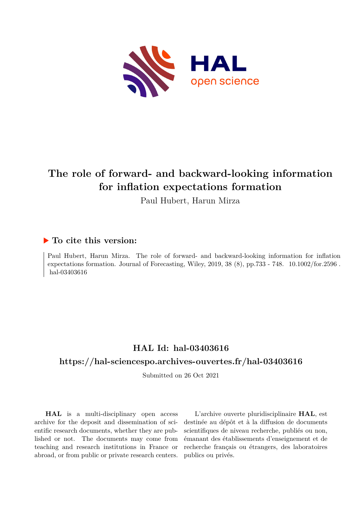

# **The role of forward- and backward-looking information for inflation expectations formation**

Paul Hubert, Harun Mirza

# **To cite this version:**

Paul Hubert, Harun Mirza. The role of forward- and backward-looking information for inflation expectations formation. Journal of Forecasting, Wiley,  $2019$ ,  $38$  (8), pp.733 - 748.  $10.1002$ /for.2596. hal-03403616

# **HAL Id: hal-03403616**

# **<https://hal-sciencespo.archives-ouvertes.fr/hal-03403616>**

Submitted on 26 Oct 2021

**HAL** is a multi-disciplinary open access archive for the deposit and dissemination of scientific research documents, whether they are published or not. The documents may come from teaching and research institutions in France or abroad, or from public or private research centers.

L'archive ouverte pluridisciplinaire **HAL**, est destinée au dépôt et à la diffusion de documents scientifiques de niveau recherche, publiés ou non, émanant des établissements d'enseignement et de recherche français ou étrangers, des laboratoires publics ou privés.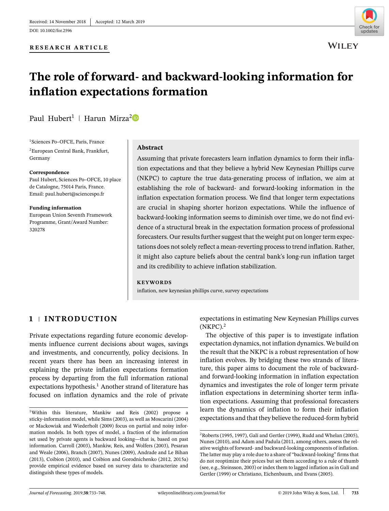DOI: [10.1002/for.2596](https://doi.org/10.1002/for.2596)



# **The role of forward- and backward-looking information for inflation expectations formation**

Paul Hubert<sup>1</sup> | Harun Mirza<sup>[2](https://orcid.org/0000-0002-9361-5754)</sup><sup>D</sup>

1Sciences Po–OFCE, Paris, France 2European Central Bank, Frankfurt, Germany

#### **Correspondence**

Paul Hubert, Sciences Po–OFCE, 10 place de Catalogne, 75014 Paris, France. Email: paul.hubert@sciencespo.fr

**Funding information** European Union Seventh Framework Programme, Grant/Award Number: 320278

## **Abstract**

Assuming that private forecasters learn inflation dynamics to form their inflation expectations and that they believe a hybrid New Keynesian Phillips curve (NKPC) to capture the true data-generating process of inflation, we aim at establishing the role of backward- and forward-looking information in the inflation expectation formation process. We find that longer term expectations are crucial in shaping shorter horizon expectations. While the influence of backward-looking information seems to diminish over time, we do not find evidence of a structural break in the expectation formation process of professional forecasters. Our results further suggest that the weight put on longer term expectations does not solely reflect a mean-reverting process to trend inflation. Rather, it might also capture beliefs about the central bank's long-run inflation target and its credibility to achieve inflation stabilization.

#### **KEYWORDS**

inflation, new keynesian phillips curve, survey expectations

# **1 INTRODUCTION**

Private expectations regarding future economic developments influence current decisions about wages, savings and investments, and concurrently, policy decisions. In recent years there has been an increasing interest in explaining the private inflation expectations formation process by departing from the full information rational expectations hypothesis.<sup>1</sup> Another strand of literature has focused on inflation dynamics and the role of private expectations in estimating New Keynesian Phillips curves  $(NKPC).<sup>2</sup>$ 

The objective of this paper is to investigate inflation expectation dynamics, not inflation dynamics. We build on the result that the NKPC is a robust representation of how inflation evolves. By bridging these two strands of literature, this paper aims to document the role of backwardand forward-looking information in inflation expectation dynamics and investigates the role of longer term private inflation expectations in determining shorter term inflation expectations. Assuming that professional forecasters learn the dynamics of inflation to form their inflation expectations and that they believe the reduced-form hybrid

<sup>1</sup>Within this literature, Mankiw and Reis (2002) propose a sticky-information model, while Sims (2003), as well as Moscarini (2004) or Mackowiak and Wiederholt (2009) focus on partial and noisy information models. In both types of model, a fraction of the information set used by private agents is backward looking—that is, based on past information. Carroll (2003), Mankiw, Reis, and Wolfers (2003), Pesaran and Weale (2006), Branch (2007), Nunes (2009), Andrade and Le Bihan (2013), Coibion (2010), and Coibion and Gorodnichenko (2012, 2015a) provide empirical evidence based on survey data to characterize and distinguish these types of models.

<sup>2</sup>Roberts (1995, 1997), Galí and Gertler (1999), Rudd and Whelan (2005), Nunes (2010), and Adam and Padula (2011, among others, assess the relative weights of forward- and backward-looking components of inflation. The latter may play a role due to a share of "backward-looking" firms that do not reoptimize their prices but set them according to a rule of thumb (see, e.g., Steinsson, 2003) or index them to lagged inflation as in Galí and Gertler (1999) or Christiano, Eichenbaum, and Evans (2005).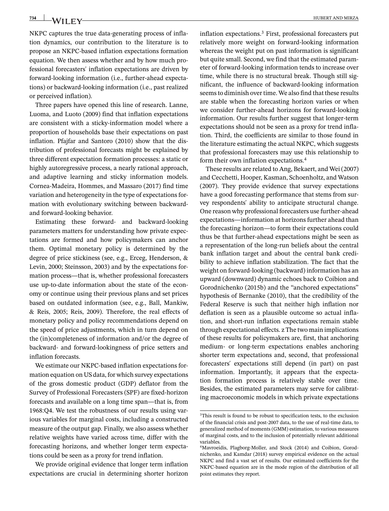734 WILEY-

NKPC captures the true data-generating process of inflation dynamics, our contribution to the literature is to propose an NKPC-based inflation expectations formation equation. We then assess whether and by how much professional forecasters' inflation expectations are driven by forward-looking information (i.e., further-ahead expectations) or backward-looking information (i.e., past realized or perceived inflation).

Three papers have opened this line of research. Lanne, Luoma, and Luoto (2009) find that inflation expectations are consistent with a sticky-information model where a proportion of households base their expectations on past inflation. Pfajfar and Santoro (2010) show that the distribution of professional forecasts might be explained by three different expectation formation processes: a static or highly autoregressive process, a nearly rational approach, and adaptive learning and sticky information models. Cornea-Madeira, Hommes, and Massaro (2017) find time variation and heterogeneity in the type of expectations formation with evolutionary switching between backwardand forward-looking behavior.

Estimating these forward- and backward-looking parameters matters for understanding how private expectations are formed and how policymakers can anchor them. Optimal monetary policy is determined by the degree of price stickiness (see, e.g., Erceg, Henderson, & Levin, 2000; Steinsson, 2003) and by the expectations formation process—that is, whether professional forecasters use up-to-date information about the state of the economy or continue using their previous plans and set prices based on outdated information (see, e.g., Ball, Mankiw, & Reis, 2005; Reis, 2009). Therefore, the real effects of monetary policy and policy recommendations depend on the speed of price adjustments, which in turn depend on the (in)completeness of information and/or the degree of backward- and forward-lookingness of price setters and inflation forecasts.

We estimate our NKPC-based inflation expectations formation equation on US data, for which survey expectations of the gross domestic product (GDP) deflator from the Survey of Professional Forecasters (SPF) are fixed-horizon forecasts and available on a long time span—that is, from 1968:Q4. We test the robustness of our results using various variables for marginal costs, including a constructed measure of the output gap. Finally, we also assess whether relative weights have varied across time, differ with the forecasting horizons, and whether longer term expectations could be seen as a proxy for trend inflation.

We provide original evidence that longer term inflation expectations are crucial in determining shorter horizon inflation expectations.3 First, professional forecasters put relatively more weight on forward-looking information whereas the weight put on past information is significant but quite small. Second, we find that the estimated parameter of forward-looking information tends to increase over time, while there is no structural break. Though still significant, the influence of backward-looking information seems to diminish over time. We also find that these results are stable when the forecasting horizon varies or when we consider further-ahead horizons for forward-looking information. Our results further suggest that longer-term expectations should not be seen as a proxy for trend inflation. Third, the coefficients are similar to those found in the literature estimating the actual NKPC, which suggests that professional forecasters may use this relationship to form their own inflation expectations.4

These results are related to Ang, Bekaert, and Wei (2007) and Cecchetti, Hooper, Kasman, Schoenholtz, and Watson (2007). They provide evidence that survey expectations have a good forecasting performance that stems from survey respondents' ability to anticipate structural change. One reason why professional forecasters use further-ahead expectations—information at horizons further ahead than the forecasting horizon—to form their expectations could thus be that further-ahead expectations might be seen as a representation of the long-run beliefs about the central bank inflation target and about the central bank credibility to achieve inflation stabilization. The fact that the weight on forward-looking (backward) information has an upward (downward) dynamic echoes back to Coibion and Gorodnichenko (2015b) and the "anchored expectations" hypothesis of Bernanke (2010), that the credibility of the Federal Reserve is such that neither high inflation nor deflation is seen as a plausible outcome so actual inflation, and short-run inflation expectations remain stable through expectational effects. z The two main implications of these results for policymakers are, first, that anchoring medium- or long-term expectations enables anchoring shorter term expectations and, second, that professional forecasters' expectations still depend (in part) on past information. Importantly, it appears that the expectation formation process is relatively stable over time. Besides, the estimated parameters may serve for calibrating macroeconomic models in which private expectations

<sup>&</sup>lt;sup>3</sup>This result is found to be robust to specification tests, to the exclusion of the financial crisis and post-2007 data, to the use of real-time data, to generalized method of moments (GMM) estimation, to various measures of marginal costs, and to the inclusion of potentially relevant additional variables.

<sup>4</sup>Mavroeidis, Plagborg-Moller, and Stock (2014) and Coibion, Gorodnichenko, and Kamdar (2018) survey empirical evidence on the actual NKPC and find a vast set of results. Our estimated coefficients for the NKPC-based equation are in the mode region of the distribution of all point estimates they report.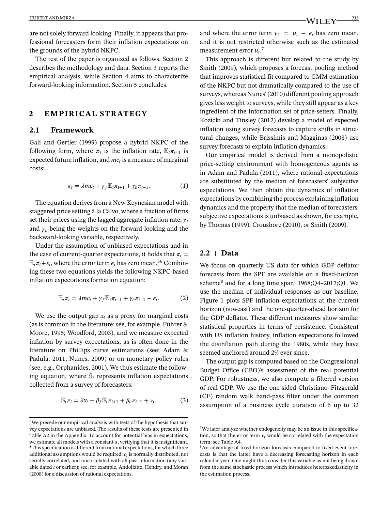are not solely forward looking. Finally, it appears that professional forecasters form their inflation expectations on the grounds of the hybrid NKPC.

The rest of the paper is organized as follows. Section 2 describes the methodology and data. Section 3 reports the empirical analysis, while Section 4 aims to characterize forward-looking information. Section 5 concludes.

## **2 EMPIRICAL STRATEGY**

## **2.1 Framework**

Galí and Gertler (1999) propose a hybrid NKPC of the following form, where  $\pi_t$  is the inflation rate,  $\mathbb{E}_t \pi_{t+1}$  is expected future inflation, and  $mc<sub>t</sub>$  is a measure of marginal costs:

$$
\pi_t = \lambda m c_t + \gamma_f \mathbb{E}_t \pi_{t+1} + \gamma_b \pi_{t-1}.
$$
 (1)

The equation derives from a New Keynesian model with staggered price setting á la Calvo, where a fraction of firms set their prices using the lagged aggregate inflation rate,  $\gamma_f$ and  $\gamma$ <sub>b</sub> being the weights on the forward-looking and the backward-looking variable, respectively.

Under the assumption of unbiased expectations and in the case of current-quarter expectations, it holds that  $\pi_t$  =  $\mathbb{E}_{t}\pi_{t}+\epsilon_{t}$ , where the error term  $\epsilon_{t}$  has zero mean.<sup>56</sup> Combining these two equations yields the following NKPC-based inflation expectations formation equation:

$$
\mathbb{E}_t \pi_t = \lambda m c_t + \gamma_f \mathbb{E}_t \pi_{t+1} + \gamma_b \pi_{t-1} - \epsilon_t.
$$
 (2)

We use the output gap  $x_t$  as a proxy for marginal costs (as is common in the literature; see, for example, Fuhrer & Moore, 1995; Woodford, 2003), and we measure expected inflation by survey expectations, as is often done in the literature on Phillips curve estimations (see; Adam & Padula, 2011; Nunes, 2009) or on monetary policy rules (see, e.g., Orphanides, 2001). We thus estimate the following equation, where  $\mathcal{S}_t$  represents inflation expectations collected from a survey of forecasters:

$$
\mathbb{S}_t \pi_t = \delta x_t + \beta_f \mathbb{S}_t \pi_{t+1} + \beta_b \pi_{t-1} + \nu_t, \tag{3}
$$

and where the error term  $v_t = u_t - \epsilon_t$  has zero mean, and it is not restricted otherwise such as the estimated measurement error  $u_t$ <sup>7</sup>

This approach is different but related to the study by Smith (2009), which proposes a forecast pooling method that improves statistical fit compared to GMM estimation of the NKPC but not dramatically compared to the use of surveys, whereas Nunes' (2010) different pooling approach gives less weight to surveys, while they still appear as a key ingredient of the information set of price-setters. Finally, Kozicki and Tinsley (2012) develop a model of expected inflation using survey forecasts to capture shifts in structural changes, while Brissimis and Magginas (2008) use survey forecasts to explain inflation dynamics.

Our empirical model is derived from a monopolistic price-setting environment with homogeneous agents as in Adam and Padula (2011), where rational expectations are substituted by the median of forecasters' subjective expectations. We then obtain the dynamics of inflation expectations by combining the process explaining inflation dynamics and the property that the median of forecasters' subjective expectations is unbiased as shown, for example, by Thomas (1999), Croushore (2010), or Smith (2009).

#### **2.2 Data**

We focus on quarterly US data for which GDP deflator forecasts from the SPF are available on a fixed-horizon scheme8 and for a long time span: 1968;Q4–2017;Q1. We use the median of individual responses as our baseline. Figure 1 plots SPF inflation expectations at the current horizon (nowcast) and the one-quarter-ahead horizon for the GDP deflator. These different measures show similar statistical properties in terms of persistence. Consistent with US inflation history, inflation expectations followed the disinflation path during the 1980s, while they have seemed anchored around 2% ever since.

The output gap is computed based on the Congressional Budget Office (CBO)'s assessment of the real potential GDP. For robustness, we also compute a filtered version of real GDP. We use the one-sided Christiano–Fitzgerald (CF) random walk band-pass filter under the common assumption of a business cycle duration of 6 up to 32

<sup>5</sup>We precede our empirical analysis with tests of the hypothesis that survey expectations are unbiased. The results of these tests are presented in Table A2 in the Appendix. To account for potential bias in expectations, we estimate all models with a constant  $\alpha$ , verifying that it is insignificant. <sup>6</sup>This specification is different from rational expectations, for which three additional assumptions would be required:  $\epsilon_t$  is normally distributed, not serially correlated, and uncorrelated with all past information (any variable dated *t* or earlier); see, for example, Andolfatto, Hendry, and Moran (2008) for a discussion of rational expectations.

<sup>7</sup>We later analyze whether endogeneity may be an issue in this specification, so that the error term  $v_t$  would be correlated with the expectation term; see Table A4.

<sup>8</sup>An advantage of fixed-horizon forecasts compared to fixed-event forecasts is that the latter have a decreasing forecasting horizon in each calendar year. One might thus consider this variable as not being drawn from the same stochastic process which introduces heteroskedasticity in the estimation process.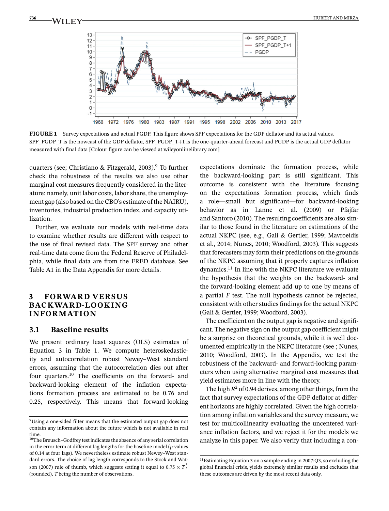

**FIGURE 1** Survey expectations and actual PGDP. This figure shows SPF expectations for the GDP deflator and its actual values. SPF\_PGDP\_T is the nowcast of the GDP deflator, SPF\_PGDP\_T+1 is the one-quarter-ahead forecast and PGDP is the actual GDP deflator measured with final data [Colour figure can be viewed at [wileyonlinelibrary.com\]](http://wileyonlinelibrary.com)

quarters (see; Christiano & Fitzgerald, 2003).<sup>9</sup> To further check the robustness of the results we also use other marginal cost measures frequently considered in the literature: namely, unit labor costs, labor share, the unemployment gap (also based on the CBO's estimate of the NAIRU), inventories, industrial production index, and capacity utilization.

Further, we evaluate our models with real-time data to examine whether results are different with respect to the use of final revised data. The SPF survey and other real-time data come from the Federal Reserve of Philadelphia, while final data are from the FRED database. See Table A1 in the Data Appendix for more details.

# **3 FORWARD VERSUS BACKWARD-LOOKING INFORMATION**

## **3.1 Baseline results**

We present ordinary least squares (OLS) estimates of Equation 3 in Table 1. We compute heteroskedasticity and autocorrelation robust Newey–West standard errors, assuming that the autocorrelation dies out after four quarters.10 The coefficients on the forward- and backward-looking element of the inflation expectations formation process are estimated to be 0.76 and 0.25, respectively. This means that forward-looking

expectations dominate the formation process, while the backward-looking part is still significant. This outcome is consistent with the literature focusing on the expectations formation process, which finds a role—small but significant—for backward-looking behavior as in Lanne et al. (2009) or Pfajfar and Santoro (2010). The resulting coefficients are also similar to those found in the literature on estimations of the actual NKPC (see, e.g., Galí & Gertler, 1999; Mavroeidis et al., 2014; Nunes, 2010; Woodford, 2003). This suggests that forecasters may form their predictions on the grounds of the NKPC assuming that it properly captures inflation dynamics.11 In line with the NKPC literature we evaluate the hypothesis that the weights on the backward- and the forward-looking element add up to one by means of a partial *F* test. The null hypothesis cannot be rejected, consistent with other studies findings for the actual NKPC (Galí & Gertler, 1999; Woodford, 2003).

The coefficient on the output gap is negative and significant. The negative sign on the output gap coefficient might be a surprise on theoretical grounds, while it is well documented empirically in the NKPC literature (see ; Nunes, 2010; Woodford, 2003). In the Appendix, we test the robustness of the backward- and forward-looking parameters when using alternative marginal cost measures that yield estimates more in line with the theory.

The high  $R^2$  of 0.94 derives, among other things, from the fact that survey expectations of the GDP deflator at different horizons are highly correlated. Given the high correlation among inflation variables and the survey measure, we test for multicollinearity evaluating the uncentered variance inflation factors, and we reject it for the models we analyze in this paper. We also verify that including a con-

<sup>9</sup>Using a one-sided filter means that the estimated output gap does not contain any information about the future which is not available in real time.

<sup>10</sup>The Breusch–Godfrey test indicates the absence of any serial correlation in the error term at different lag lengths for the baseline model (*p*-values of 0.14 at four lags). We nevertheless estimate robust Newey–West standard errors. The choice of lag length corresponds to the Stock and Watson (2007) rule of thumb, which suggests setting it equal to 0.75  $\times$   $T^{\frac{1}{3}}$ (rounded), *T* being the number of observations.

<sup>11</sup>Estimating Equation 3 on a sample ending in 2007:Q3, so excluding the global financial crisis, yields extremely similar results and excludes that these outcomes are driven by the most recent data only.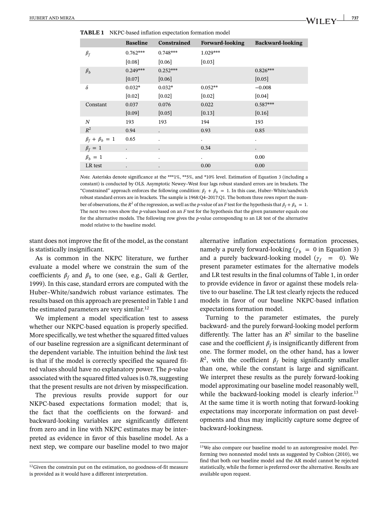|                         | <b>Baseline</b>      | Constrained          | Forward-looking      | <b>Backward-looking</b> |
|-------------------------|----------------------|----------------------|----------------------|-------------------------|
| $\beta_f$               | $0.762***$           | $0.748***$           | $1.029***$           |                         |
|                         | [0.08]               | [0.06]               | [0.03]               |                         |
| $\beta_b$               | $0.249***$           | $0.252***$           |                      | $0.826***$              |
|                         | $[0.07]$             | [0.06]               |                      | $[0.05]$                |
| δ                       | $0.032*$             | $0.032*$             | $0.052**$            | $-0.008$                |
|                         | [0.02]               | [0.02]               | $[0.02]$             | $[0.04]$                |
| Constant                | 0.037                | 0.076                | 0.022                | $0.587***$              |
|                         | [0.09]               | [0.05]               | $[0.13]$             | [0.16]                  |
| N                       | 193                  | 193                  | 194                  | 193                     |
| $R^2$                   | 0.94                 | $\ddot{\phantom{0}}$ | 0.93                 | 0.85                    |
| $\beta_f + \beta_b = 1$ | 0.65                 | $\ddot{\phantom{0}}$ | $\ddot{\phantom{a}}$ | $\ddot{\phantom{0}}$    |
| $\beta_f = 1$           | $\ddot{\phantom{0}}$ |                      | 0.34                 |                         |
| $\beta_h = 1$           | $\ddot{\phantom{0}}$ | $\ddot{\phantom{0}}$ | $\bullet$            | 0.00                    |
| LR test                 |                      |                      | 0.00                 | 0.00                    |

*Note.* Asterisks denote significance at the \*\*\*1%, \*\*5%, and \*10% level. Estimation of Equation 3 (including a constant) is conducted by OLS. Asymptotic Newey–West four lags robust standard errors are in brackets. The "Constrained" approach enforces the following condition:  $\beta_f + \beta_b = 1$ . In this case, Huber–White/sandwich robust standard errors are in brackets. The sample is 1968:Q4–2017:Q1. The bottom three rows report the number of observations, the  $R^2$  of the regression, as well as the *p*-value of an *F* test for the hypothesis that  $\beta_f + \beta_b = 1$ . The next two rows show the *p*-values based on an *F* test for the hypothesis that the given parameter equals one for the alternative models. The following row gives the *p*-value corresponding to an LR test of the alternative model relative to the baseline model.

stant does not improve the fit of the model, as the constant is statistically insignificant.

As is common in the NKPC literature, we further evaluate a model where we constrain the sum of the coefficients  $\beta_f$  and  $\beta_b$  to one (see, e.g., Galí & Gertler, 1999). In this case, standard errors are computed with the Huber–White/sandwich robust variance estimates. The results based on this approach are presented in Table 1 and the estimated parameters are very similar.<sup>12</sup>

We implement a model specification test to assess whether our NKPC-based equation is properly specified. More specifically, we test whether the squared fitted values of our baseline regression are a significant determinant of the dependent variable. The intuition behind the *link* test is that if the model is correctly specified the squared fitted values should have no explanatory power. The *p*-value associated with the squared fitted values is 0.78, suggesting that the present results are not driven by misspecification.

The previous results provide support for our NKPC-based expectations formation model; that is, the fact that the coefficients on the forward- and backward-looking variables are significantly different from zero and in line with NKPC estimates may be interpreted as evidence in favor of this baseline model. As a next step, we compare our baseline model to two major alternative inflation expectations formation processes, namely a purely forward-looking ( $\gamma_h = 0$  in Equation 3) and a purely backward-looking model ( $\gamma_f$  = 0). We present parameter estimates for the alternative models and LR test results in the final columns of Table 1, in order to provide evidence in favor or against these models relative to our baseline. The LR test clearly rejects the reduced models in favor of our baseline NKPC-based inflation expectations formation model.

Turning to the parameter estimates, the purely backward- and the purely forward-looking model perform differently. The latter has an  $R^2$  similar to the baseline case and the coefficient  $\beta_f$  is insignificantly different from one. The former model, on the other hand, has a lower  $R^2$ , with the coefficient  $\beta_f$  being significantly smaller than one, while the constant is large and significant. We interpret these results as the purely forward-looking model approximating our baseline model reasonably well, while the backward-looking model is clearly inferior.<sup>13</sup> At the same time it is worth noting that forward-looking expectations may incorporate information on past developments and thus may implicitly capture some degree of backward-lookingness.

 $12$ Given the constrain put on the estimation, no goodness-of-fit measure is provided as it would have a different interpretation.

<sup>&</sup>lt;sup>13</sup>We also compare our baseline model to an autoregressive model. Performing two nonnested model tests as suggested by Coibion (2010), we find that both our baseline model and the AR model cannot be rejected statistically, while the former is preferred over the alternative. Results are available upon request.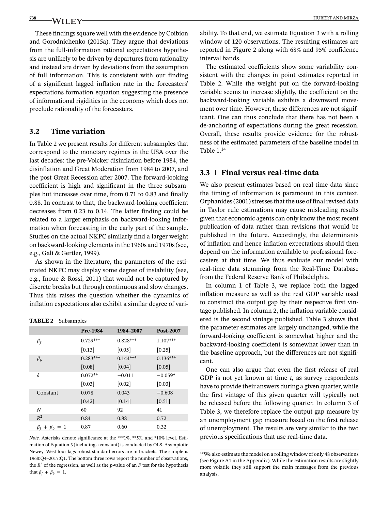These findings square well with the evidence by Coibion and Gorodnichenko (2015a). They argue that deviations from the full-information rational expectations hypothesis are unlikely to be driven by departures from rationality and instead are driven by deviations from the assumption of full information. This is consistent with our finding of a significant lagged inflation rate in the forecasters' expectations formation equation suggesting the presence of informational rigidities in the economy which does not preclude rationality of the forecasters.

# **3.2 Time variation**

In Table 2 we present results for different subsamples that correspond to the monetary regimes in the USA over the last decades: the pre-Volcker disinflation before 1984, the disinflation and Great Moderation from 1984 to 2007, and the post Great Recession after 2007. The forward-looking coefficient is high and significant in the three subsamples but increases over time, from 0.71 to 0.83 and finally 0.88. In contrast to that, the backward-looking coefficient decreases from 0.23 to 0.14. The latter finding could be related to a larger emphasis on backward-looking information when forecasting in the early part of the sample. Studies on the actual NKPC similarly find a larger weight on backward-looking elements in the 1960s and 1970s (see, e.g., Galí & Gertler, 1999).

As shown in the literature, the parameters of the estimated NKPC may display some degree of instability (see, e.g., Inoue & Rossi, 2011) that would not be captured by discrete breaks but through continuous and slow changes. Thus this raises the question whether the dynamics of inflation expectations also exhibit a similar degree of vari-

#### **TABLE 2** Subsamples

|                         | Pre-1984            | 1984-2007  | <b>Post-2007</b> |
|-------------------------|---------------------|------------|------------------|
| $\beta_f$               | $0.729***$          | $0.828***$ | 1.107***         |
|                         | [0.13]              | [0.05]     | [0.25]           |
| $\beta_h$               | $0.283***$          | $0.144***$ | $0.136***$       |
|                         | [0.08]              | [0.04]     | [0.05]           |
| δ                       | $0.072**$           | $-0.011$   | $-0.059*$        |
|                         | [0.03]              | [0.02]     | [0.03]           |
| Constant                | 0.078               | 0.043      | $-0.608$         |
|                         | $\left[0.42\right]$ | [0.14]     | [0.51]           |
| N                       | 60                  | 92         | 41               |
| $R^2$                   | 0.84                | 0.88       | 0.72             |
| $\beta_f + \beta_b = 1$ | 0.87                | 0.60       | 0.32             |

*Note.* Asterisks denote significance at the \*\*\*1%, \*\*5%, and \*10% level. Estimation of Equation 3 (including a constant) is conducted by OLS. Asymptotic Newey–West four lags robust standard errors are in brackets. The sample is 1968:Q4–2017:Q1. The bottom three rows report the number of observations, the  $R^2$  of the regression, as well as the *p*-value of an *F* test for the hypothesis that  $\beta_f + \beta_b = 1$ .

ability. To that end, we estimate Equation 3 with a rolling window of 120 observations. The resulting estimates are reported in Figure 2 along with 68% and 95% confidence interval bands.

The estimated coefficients show some variability consistent with the changes in point estimates reported in Table 2. While the weight put on the forward-looking variable seems to increase slightly, the coefficient on the backward-looking variable exhibits a downward movement over time. However, these differences are not significant. One can thus conclude that there has not been a de-anchoring of expectations during the great recession. Overall, these results provide evidence for the robustness of the estimated parameters of the baseline model in Table 1.14

# **3.3 Final versus real-time data**

We also present estimates based on real-time data since the timing of information is paramount in this context. Orphanides (2001) stresses that the use of final revised data in Taylor rule estimations may cause misleading results given that economic agents can only know the most recent publication of data rather than revisions that would be published in the future. Accordingly, the determinants of inflation and hence inflation expectations should then depend on the information available to professional forecasters at that time. We thus evaluate our model with real-time data stemming from the Real-Time Database from the Federal Reserve Bank of Philadelphia.

In column 1 of Table 3, we replace both the lagged inflation measure as well as the real GDP variable used to construct the output gap by their respective first vintage published. In column 2, the inflation variable considered is the second vintage published. Table 3 shows that the parameter estimates are largely unchanged, while the forward-looking coefficient is somewhat higher and the backward-looking coefficient is somewhat lower than in the baseline approach, but the differences are not significant.

One can also argue that even the first release of real GDP is not yet known at time *t*, as survey respondents have to provide their answers during a given quarter, while the first vintage of this given quarter will typically not be released before the following quarter. In column 3 of Table 3, we therefore replace the output gap measure by an unemployment gap measure based on the first release of unemployment. The results are very similar to the two previous specifications that use real-time data.

738 | WILEY-

<sup>14</sup>We also estimate the model on a rolling window of only 48 observations (see Figure A1 in the Appendix). While the estimation results are slightly more volatile they still support the main messages from the previous analysis.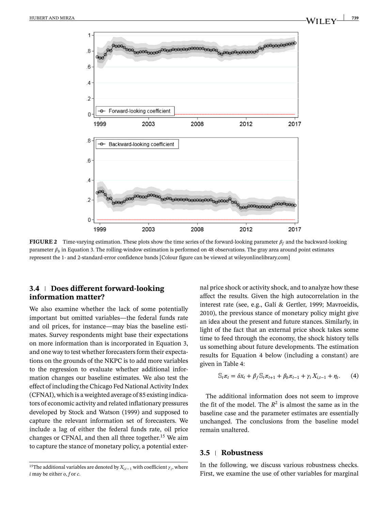

**739**

**FIGURE 2** Time-varying estimation. These plots show the time series of the forward-looking parameter  $\beta_f$  and the backward-looking parameter  $\beta_b$  in Equation 3. The rolling-window estimation is performed on 48 observations. The gray area around point estimates represent the 1- and 2-standard-error confidence bands [Colour figure can be viewed at [wileyonlinelibrary.com\]](http://wileyonlinelibrary.com)

# **3.4 Does different forward-looking information matter?**

We also examine whether the lack of some potentially important but omitted variables—the federal funds rate and oil prices, for instance—may bias the baseline estimates. Survey respondents might base their expectations on more information than is incorporated in Equation 3, and one way to test whether forecasters form their expectations on the grounds of the NKPC is to add more variables to the regression to evaluate whether additional information changes our baseline estimates. We also test the effect of including the Chicago Fed National Activity Index (CFNAI), which is a weighted average of 85 existing indicators of economic activity and related inflationary pressures developed by Stock and Watson (1999) and supposed to capture the relevant information set of forecasters. We include a lag of either the federal funds rate, oil price changes or CFNAI, and then all three together.15 We aim to capture the stance of monetary policy, a potential external price shock or activity shock, and to analyze how these affect the results. Given the high autocorrelation in the interest rate (see, e.g., Galí & Gertler, 1999; Mavroeidis, 2010), the previous stance of monetary policy might give an idea about the present and future stances. Similarly, in light of the fact that an external price shock takes some time to feed through the economy, the shock history tells us something about future developments. The estimation results for Equation 4 below (including a constant) are given in Table 4:

$$
\mathbb{S}_t \pi_t = \delta x_t + \beta_f \mathbb{S}_t \pi_{t+1} + \beta_b \pi_{t-1} + \gamma_i X_{i,t-1} + \eta_t. \tag{4}
$$

The additional information does not seem to improve the fit of the model. The  $R^2$  is almost the same as in the baseline case and the parameter estimates are essentially unchanged. The conclusions from the baseline model remain unaltered.

### **3.5 Robustness**

In the following, we discuss various robustness checks. First, we examine the use of other variables for marginal

<sup>&</sup>lt;sup>15</sup>The additional variables are denoted by  $X_{i,t-1}$  with coefficient  $\gamma_i$ , where *i* may be either *o*, *f* or *c*.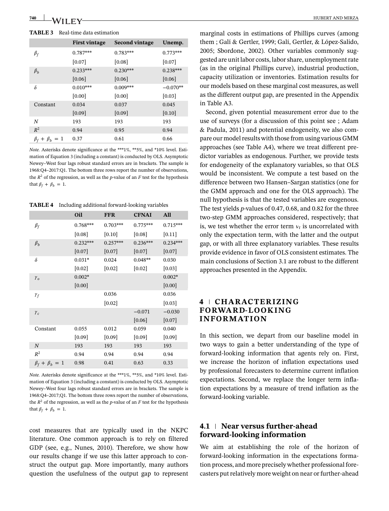#### **TABLE 3** Real-time data estimation

|                         | <b>First vintage</b> | <b>Second vintage</b> | Unemp.     |
|-------------------------|----------------------|-----------------------|------------|
| $\beta_f$               | $0.787***$           | $0.783***$            | $0.773***$ |
|                         | [0.07]               | [0.08]                | [0.07]     |
| $\beta_h$               | $0.233***$           | $0.230***$            | $0.238***$ |
|                         | [0.06]               | [0.06]                | [0.06]     |
| δ                       | $0.010***$           | $0.009***$            | $-0.070**$ |
|                         | [0.00]               | [0.00]                | [0.03]     |
| Constant                | 0.034                | 0.037                 | 0.045      |
|                         | [0.09]               | [0.09]                | [0.10]     |
| N                       | 193                  | 193                   | 193        |
| $R^2$                   | 0.94                 | 0.95                  | 0.94       |
| $\beta_f + \beta_b = 1$ | 0.37                 | 0.61                  | 0.66       |

*Note.* Asterisks denote significance at the \*\*\*1%, \*\*5%, and \*10% level. Estimation of Equation 3 (including a constant) is conducted by OLS. Asymptotic Newey–West four lags robust standard errors are in brackets. The sample is 1968:Q4–2017:Q1. The bottom three rows report the number of observations, the  $R^2$  of the regression, as well as the *p*-value of an *F* test for the hypothesis that  $\beta_f + \beta_h = 1$ .

**TABLE 4** Including additional forward-looking variables

|                         | Oil        | <b>FFR</b> | <b>CFNAI</b> | <b>All</b> |
|-------------------------|------------|------------|--------------|------------|
| $\beta_f$               | $0.768***$ | $0.703***$ | $0.775***$   | $0.715***$ |
|                         | [0.08]     | [0.10]     | [0.08]       | [0.11]     |
| $\beta_h$               | $0.232***$ | $0.257***$ | $0.236***$   | $0.234***$ |
|                         | [0.07]     | [0.07]     | [0.07]       | [0.07]     |
| δ                       | $0.031*$   | 0.024      | $0.048**$    | 0.030      |
|                         | [0.02]     | $[0.02]$   | $[0.02]$     | $[0.03]$   |
| $\gamma_{o}$            | $0.002*$   |            |              | $0.002*$   |
|                         | $[0.00]$   |            |              | [0.00]     |
| $\gamma_f$              |            | 0.036      |              | 0.036      |
|                         |            | [0.02]     |              | [0.03]     |
| $\gamma_c$              |            |            | $-0.071$     | $-0.030$   |
|                         |            |            | [0.06]       | [0.07]     |
| Constant                | 0.055      | 0.012      | 0.059        | 0.040      |
|                         | [0.09]     | [0.09]     | [0.09]       | [0.09]     |
| $\boldsymbol{N}$        | 193        | 193        | 193          | 193        |
| $R^2$                   | 0.94       | 0.94       | 0.94         | 0.94       |
| $\beta_f + \beta_b = 1$ | 0.98       | 0.41       | 0.63         | 0.33       |

*Note.* Asterisks denote significance at the \*\*\*1%, \*\*5%, and \*10% level. Estimation of Equation 3 (including a constant) is conducted by OLS. Asymptotic Newey–West four lags robust standard errors are in brackets. The sample is 1968:Q4–2017;Q1. The bottom three rows report the number of observations, the  $R^2$  of the regression, as well as the *p*-value of an *F* test for the hypothesis that  $\beta_f + \beta_b = 1$ .

cost measures that are typically used in the NKPC literature. One common approach is to rely on filtered GDP (see, e.g., Nunes, 2010). Therefore, we show how our results change if we use this latter approach to construct the output gap. More importantly, many authors question the usefulness of the output gap to represent marginal costs in estimations of Phillips curves (among them ; Galí & Gertler, 1999; Galí, Gertler, & López-Salido, 2005; Sbordone, 2002). Other variables commonly suggested are unit labor costs, labor share, unemployment rate (as in the original Phillips curve), industrial production, capacity utilization or inventories. Estimation results for our models based on these marginal cost measures, as well as the different output gap, are presented in the Appendix in Table A3.

Second, given potential measurement error due to the use of surveys (for a discussion of this point see ; Adam & Padula, 2011) and potential endogeneity, we also compare our model results with those from using various GMM approaches (see Table A4), where we treat different predictor variables as endogenous. Further, we provide tests for endogeneity of the explanatory variables, so that OLS would be inconsistent. We compute a test based on the difference between two Hansen–Sargan statistics (one for the GMM approach and one for the OLS approach). The null hypothesis is that the tested variables are exogenous. The test yields *p*-values of 0.47, 0.68, and 0.82 for the three two-step GMM approaches considered, respectively; that is, we test whether the error term  $v_t$  is uncorrelated with only the expectation term, with the latter and the output gap, or with all three explanatory variables. These results provide evidence in favor of OLS consistent estimates. The main conclusions of Section 3.1 are robust to the different approaches presented in the Appendix.

# **4 CHARACTERIZING FORWARD-LOOKING INFORMATION**

In this section, we depart from our baseline model in two ways to gain a better understanding of the type of forward-looking information that agents rely on. First, we increase the horizon of inflation expectations used by professional forecasters to determine current inflation expectations. Second, we replace the longer term inflation expectations by a measure of trend inflation as the forward-looking variable.

# **4.1 Near versus further-ahead forward-looking information**

We aim at establishing the role of the horizon of forward-looking information in the expectations formation process, and more precisely whether professional forecasters put relatively more weight on near or further-ahead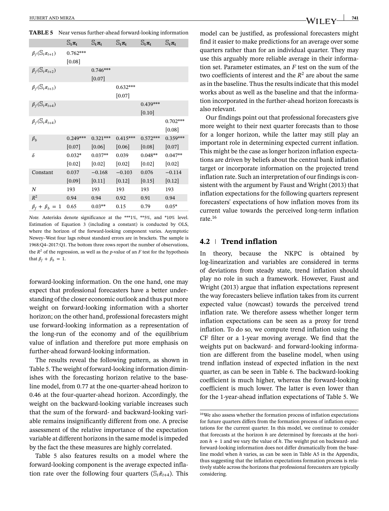|                                          | $\mathbb{S}_{t}$ $\pi_{t}$ | $\mathbb{S}_{t}\pi_{t}$ | $\mathbb{S}_{t}\pi_{t}$ | $\mathbb{S}_{t}$ $\pi_{t}$ | $\mathbb{S}_{t}$ $\pi_{t}$ |
|------------------------------------------|----------------------------|-------------------------|-------------------------|----------------------------|----------------------------|
| $\beta_f(\mathbb{S}_t \pi_{t+1})$        | $0.762***$                 |                         |                         |                            |                            |
|                                          | $[0.08]$                   |                         |                         |                            |                            |
| $\beta_f(\mathbb{S}_t \pi_{t+2})$        |                            | $0.746***$              |                         |                            |                            |
|                                          |                            | $[0.07]$                |                         |                            |                            |
| $\beta_f(\mathbb{S}_t \pi_{t+3})$        |                            |                         | $0.632***$              |                            |                            |
|                                          |                            |                         | $[0.07]$                |                            |                            |
| $\beta_f(\mathcal{S}_t \pi_{t+4})$       |                            |                         |                         | $0.439***$                 |                            |
|                                          |                            |                         |                         | [0.10]                     |                            |
| $\beta_f(\mathbb{S}_t\tilde{\pi}_{t+4})$ |                            |                         |                         |                            | $0.702***$                 |
|                                          |                            |                         |                         |                            | [0.08]                     |
| $\beta_h$                                | $0.249***$                 | $0.321***$              | $0.415***$              | $0.572***$                 | $0.359***$                 |
|                                          | $[0.07]$                   | $[0.06]$                | $[0.06]$                | $[0.08]$                   | [0.07]                     |
| $\delta$                                 | $0.032*$                   | $0.037**$               | 0.039                   | $0.048**$                  | $0.047**$                  |
|                                          | [0.02]                     | [0.02]                  | [0.02]                  | [0.02]                     | [0.02]                     |
| Constant                                 | 0.037                      | $-0.168$                | $-0.103$                | 0.076                      | $-0.114$                   |
|                                          | [0.09]                     | [0.11]                  | [0.12]                  | [0.15]                     | [0.12]                     |
| N                                        | 193                        | 193                     | 193                     | 193                        | 193                        |
| $R^2$                                    | 0.94                       | 0.94                    | 0.92                    | 0.91                       | 0.94                       |
| $\beta_f + \beta_b = 1$                  | 0.65                       | $0.03**$                | 0.15                    | 0.79                       | $0.05*$                    |

**TABLE 5** Near versus further-ahead forward-looking information

*Note.* Asterisks denote significance at the \*\*\*1%, \*\*5%, and \*10% level. Estimation of Equation 3 (including a constant) is conducted by OLS, where the horizon of the forward-looking component varies. Asymptotic Newey–West four lags robust standard errors are in brackets. The sample is 1968:Q4–2017:Q1. The bottom three rows report the number of observations, the  $R^2$  of the regression, as well as the *p*-value of an *F* test for the hypothesis that  $\beta_f + \beta_h = 1$ .

forward-looking information. On the one hand, one may expect that professional forecasters have a better understanding of the closer economic outlook and thus put more weight on forward-looking information with a shorter horizon; on the other hand, professional forecasters might use forward-looking information as a representation of the long-run of the economy and of the equilibrium value of inflation and therefore put more emphasis on further-ahead forward-looking information.

The results reveal the following pattern, as shown in Table 5. The weight of forward-looking information diminishes with the forecasting horizon relative to the baseline model, from 0.77 at the one-quarter-ahead horizon to 0.46 at the four-quarter-ahead horizon. Accordingly, the weight on the backward-looking variable increases such that the sum of the forward- and backward-looking variable remains insignificantly different from one. A precise assessment of the relative importance of the expectation variable at different horizons in the same model is impeded by the fact the these measures are highly correlated.

Table 5 also features results on a model where the forward-looking component is the average expected inflation rate over the following four quarters ( $\mathcal{S}_t \tilde{\pi}_{t+4}$ ). This model can be justified, as professional forecasters might find it easier to make predictions for an average over some quarters rather than for an individual quarter. They may use this arguably more reliable average in their information set. Parameter estimates, an *F* test on the sum of the two coefficients of interest and the  $R^2$  are about the same as in the baseline. Thus the results indicate that this model works about as well as the baseline and that the information incorporated in the further-ahead horizon forecasts is also relevant.

Our findings point out that professional forecasters give more weight to their next quarter forecasts than to those for a longer horizon, while the latter may still play an important role in determining expected current inflation. This might be the case as longer horizon inflation expectations are driven by beliefs about the central bank inflation target or incorporate information on the projected trend inflation rate. Such an interpretation of our findings is consistent with the argument by Faust and Wright (2013) that inflation expectations for the following quarters represent forecasters' expectations of how inflation moves from its current value towards the perceived long-term inflation rate.16

#### **4.2 Trend inflation**

In theory, because the NKPC is obtained by log-linearization and variables are considered in terms of deviations from steady state, trend inflation should play no role in such a framework. However, Faust and Wright (2013) argue that inflation expectations represent the way forecasters believe inflation takes from its current expected value (nowcast) towards the perceived trend inflation rate. We therefore assess whether longer term inflation expectations can be seen as a proxy for trend inflation. To do so, we compute trend inflation using the CF filter or a 1-year moving average. We find that the weights put on backward- and forward-looking information are different from the baseline model, when using trend inflation instead of expected inflation in the next quarter, as can be seen in Table 6. The backward-looking coefficient is much higher, whereas the forward-looking coefficient is much lower. The latter is even lower than for the 1-year-ahead inflation expectations of Table 5. We

<sup>16</sup>We also assess whether the formation process of inflation expectations for future quarters differs from the formation process of inflation expectations for the current quarter. In this model, we continue to consider that forecasts at the horizon *h* are determined by forecasts at the horizon  $h + 1$  and we vary the value of  $h$ . The weight put on backward- and forward-looking information does not differ dramatically from the baseline model when *h* varies, as can be seen in Table A5 in the Appendix, thus suggesting that the inflation expectations formation process is relatively stable across the horizons that professional forecasters are typically considering.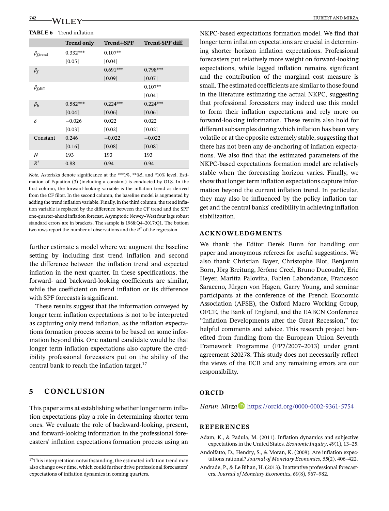**TABLE 6** Trend inflation

|                          | <b>Trend only</b> | Trend+SPF  | Trend-SPF diff. |
|--------------------------|-------------------|------------|-----------------|
| $\beta_{f,\text{trend}}$ | $0.332***$        | $0.107**$  |                 |
|                          | $[0.05]$          | [0.04]     |                 |
| $\beta_f$                |                   | $0.691***$ | $0.798***$      |
|                          |                   | [0.09]     | [0.07]          |
| $\beta_{f,\text{diff}}$  |                   |            | $0.107**$       |
|                          |                   |            | [0.04]          |
| $\beta_h$                | $0.582***$        | $0.224***$ | $0.224***$      |
|                          | [0.04]            | [0.06]     | [0.06]          |
| $\delta$                 | $-0.026$          | 0.022      | 0.022           |
|                          | [0.03]            | [0.02]     | [0.02]          |
| Constant                 | 0.246             | $-0.022$   | $-0.022$        |
|                          | [0.16]            | [0.08]     | [0.08]          |
| N                        | 193               | 193        | 193             |
| $R^2$                    | 0.88              | 0.94       | 0.94            |

*Note.* Asterisks denote significance at the \*\*\*1%, \*\*%5, and \*10% level. Estimation of Equation (3) (including a constant) is conducted by OLS. In the first column, the forward-looking variable is the inflation trend as derived from the CF filter. In the second column, the baseline model is augmented by adding the trend inflation variable. Finally, in the third column, the trend inflation variable is replaced by the difference between the CF trend and the SPF one-quarter-ahead inflation forecast. Asymptotic Newey–West four lags robust standard errors are in brackets. The sample is 1968:Q4–2017:Q1. The bottom two rows report the number of observations and the *R*<sup>2</sup> of the regression.

further estimate a model where we augment the baseline setting by including first trend inflation and second the difference between the inflation trend and expected inflation in the next quarter. In these specifications, the forward- and backward-looking coefficients are similar, while the coefficient on trend inflation or its difference with SPF forecasts is significant.

These results suggest that the information conveyed by longer term inflation expectations is not to be interpreted as capturing only trend inflation, as the inflation expectations formation process seems to be based on some information beyond this. One natural candidate would be that longer term inflation expectations also capture the credibility professional forecasters put on the ability of the central bank to reach the inflation target.17

# **5 CONCLUSION**

This paper aims at establishing whether longer term inflation expectations play a role in determining shorter term ones. We evaluate the role of backward-looking, present, and forward-looking information in the professional forecasters' inflation expectations formation process using an NKPC-based expectations formation model. We find that longer term inflation expectations are crucial in determining shorter horizon inflation expectations. Professional forecasters put relatively more weight on forward-looking expectations, while lagged inflation remains significant and the contribution of the marginal cost measure is small. The estimated coefficients are similar to those found in the literature estimating the actual NKPC, suggesting that professional forecasters may indeed use this model to form their inflation expectations and rely more on forward-looking information. These results also hold for different subsamples during which inflation has been very volatile or at the opposite extremely stable, suggesting that there has not been any de-anchoring of inflation expectations. We also find that the estimated parameters of the NKPC-based expectations formation model are relatively stable when the forecasting horizon varies. Finally, we show that longer term inflation expectations capture information beyond the current inflation trend. In particular, they may also be influenced by the policy inflation target and the central banks' credibility in achieving inflation stabilization.

### **ACKNOWLEDGMENTS**

We thank the Editor Derek Bunn for handling our paper and anonymous referees for useful suggestions. We also thank Christian Bayer, Christophe Blot, Benjamin Born, Jörg Breitung, Jérôme Creel, Bruno Ducoudré, Eric Heyer, Maritta Paloviita, Fabien Labondance, Francesco Saraceno, Jürgen von Hagen, Garry Young, and seminar participants at the conference of the French Economic Association (AFSE), the Oxford Macro Working Group, OFCE, the Bank of England, and the EABCN Conference "Inflation Developments after the Great Recession," for helpful comments and advice. This research project benefited from funding from the European Union Seventh Framework Programme (FP7/2007–2013) under grant agreement 320278. This study does not necessarily reflect the views of the ECB and any remaining errors are our responsibility.

# **ORCID**

*H[a](https://orcid.org/0000-0002-9361-5754)run Mirza* **<https://orcid.org/0000-0002-9361-5754>** 

#### **REFERENCES**

Adam, K., & Padula, M. (2011). Inflation dynamics and subjective expectations in the United States. *Economic Inquiry*, *49*(1), 13–25.

- Andolfatto, D., Hendry, S., & Moran, K. (2008). Are inflation expectations rational? *Journal of Monetary Economics*, *55*(2), 406–422.
- Andrade, P., & Le Bihan, H. (2013). Inattentive professional forecasters. *Journal of Monetary Economics*, *60*(8), 967–982.

 $\rm ^{17}This$  interpretation notwithstanding, the estimated inflation trend may also change over time, which could further drive professional forecasters' expectations of inflation dynamics in coming quarters.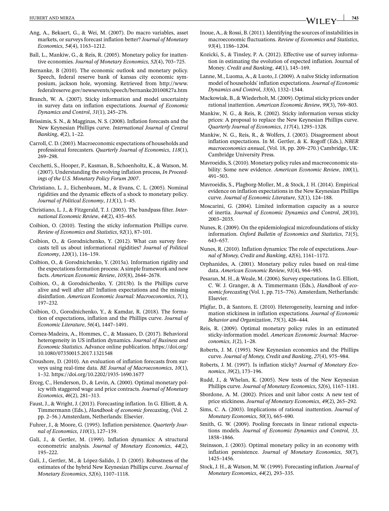- Ang, A., Bekaert, G., & Wei, M. (2007). Do macro variables, asset markets, or surveys forecast inflation better? *Journal of Monetary Economics*, *54*(4), 1163–1212.
- Ball, L., Mankiw, G., & Reis, R. (2005). Monetary policy for inattentive economies. *Journal of Monetary Economics*, *52*(4), 703–725.
- Bernanke, B (2010). The economic outlook and monetary policy. Speech, federal reserve bank of kansas city economic symposium, jackson hole, wyoming. Retrieved from [http://www.](http://www.federalreserve.gov/newsevents/speech/bernanke20100827a.htm) [federalreserve.gov/newsevents/speech/bernanke20100827a.htm](http://www.federalreserve.gov/newsevents/speech/bernanke20100827a.htm)
- Branch, W. A. (2007). Sticky information and model uncertainty in survey data on inflation expectations. *Journal of Economic Dynamics and Control*, *31*(1), 245–276.
- Brissimis, S. N., & Magginas, N. S. (2008). Inflation forecasts and the New Keynesian Phillips curve. *International Journal of Central Banking*, *4*(2), 1–22.
- Carroll, C. D. (2003). Macroeconomic expectations of households and professional forecasters. *Quarterly Journal of Economics*, *118*(1), 269–298.
- Cecchetti, S., Hooper, P., Kasman, B., Schoenholtz, K., & Watson, M. (2007). Understanding the evolving inflation process, *In Proceedings of the U.S. Monetary Policy Forum 2007*.
- Christiano, L. J., Eichenbaum, M., & Evans, C. L. (2005). Nominal rigidities and the dynamic effects of a shock to monetary policy. *Journal of Political Economy*, *113*(1), 1–45.
- Christiano, L. J., & Fitzgerald, T. J. (2003). The bandpass filter. *International Economic Review*, *44*(2), 435–465.
- Coibion, O. (2010). Testing the sticky information Phillips curve. *Review of Economics and Statistics*, *92*(1), 87–101.
- Coibion, O., & Gorodnichenko, Y. (2012). What can survey forecasts tell us about informational rigidities? *Journal of Political Economy*, *120*(1), 116–159.
- Coibion, O., & Gorodnichenko, Y. (2015a). Information rigidity and the expectations formation process: A simple framework and new facts. *American Economic Review*, *105*(8), 2644–2678.
- Coibion, O., & Gorodnichenko, Y. (2015b). Is the Phillips curve alive and well after all? Inflation expectations and the missing disinflation. *American Economic Journal: Macroeconomics*, *7*(1), 197–232.
- Coibion, O., Gorodnichenko, Y., & Kamdar, R. (2018). The formation of expectations, inflation and the Phillips curve. *Journal of Economic Literature*, *56*(4), 1447–1491.
- Cornea-Madeira, A., Hommes, C., & Massaro, D. (2017). Behavioral heterogeneity in US inflation dynamics. *Journal of Business and Economic Statistics*. Advance online publication. [https://doi.org/](https://doi.org/10.1080/07350015.2017.1321548) [10.1080/07350015.2017.1321548](https://doi.org/10.1080/07350015.2017.1321548)
- Croushore, D. (2010). An evaluation of inflation forecasts from surveys using real-time data. *BE Journal of Macroeconomics*, *10*(1), 1–32.<https://doi.org/10.2202/1935-1690.1677>
- Erceg, C., Henderson, D., & Levin, A. (2000). Optimal monetary policy with staggered wage and price contracts. *Journal of Monetary Economics*, *46*(2), 281–313.
- Faust, J., & Wright, J. (2013). Forecasting inflation. In G. Elliott, & A. Timmermann (Eds.), *Handbook of economic forecasting*, (Vol. *2*. pp. 2–56.) Amsterdam, Netherlands: Elsevier.
- Fuhrer, J., & Moore, G. (1995). Inflation persistence. *Quarterly Journal of Economics*, *110*(1), 127–159.
- Galí, J., & Gertler, M. (1999). Inflation dynamics: A structural econometric analysis. *Journal of Monetary Economics*, *44*(2), 195–222.
- Galí, J., Gertler, M., & López-Salido, J. D. (2005). Robustness of the estimates of the hybrid New Keynesian Phillips curve. *Journal of Monetary Economics*, *52*(6), 1107–1118.
- Inoue, A., & Rossi, B. (2011). Identifying the sources of instabilities in macroeconomic fluctuations. *Review of Economics and Statistics*, *93*(4), 1186–1204.
- Kozicki, S., & Tinsley, P. A. (2012). Effective use of survey information in estimating the evolution of expected inflation. Journal of Money. *Credit and Banking*, *44*(1), 145–169.
- Lanne, M., Luoma, A., & Luoto, J. (2009). A naïve Sticky information model of households' inflation expectations. *Journal of Economic Dynamics and Control*, *33*(6), 1332–1344.
- Mackowiak, B., & Wiederholt, M. (2009). Optimal sticky prices under rational inattention. *American Economic Review*, *99*(3), 769–803.
- Mankiw, N. G., & Reis, R. (2002). Sticky information versus sticky prices: A proposal to replace the New Keynesian Phillips curve. *Quarterly Journal of Economics*, *117*(4), 1295–1328.
- Mankiw, N. G., Reis, R., & Wolfers, J. (2003). Disagreement about inflation expectations. In M. Gertler, & K. Rogoff (Eds.), *NBER macroeconomics annual*, (Vol. 18, pp. 209–270.) Cambridge, UK: Cambridge University Press.
- Mavroeidis, S. (2010). Monetary policy rules and macroeconomic stability: Some new evidence. *American Economic Review*, *100*(1), 491–503.
- Mavroeidis, S., Plagborg-Moller, M., & Stock, J. H. (2014). Empirical evidence on inflation expectations in the New Keynesian Phillips curve. *Journal of Economic Literature*, *52*(1), 124–188.
- Moscarini, G. (2004). Limited information capacity as a source of inertia. *Journal of Economic Dynamics and Control*, *28*(10), 2003–2035.
- Nunes, R. (2009). On the epidemiological microfoundations of sticky information. *Oxford Bulletin of Economics and Statistics*, *71*(5), 643–657.
- Nunes, R. (2010). Inflation dynamics: The role of expectations. *Journal of Money, Credit and Banking*, *42*(6), 1161–1172.
- Orphanides, A. (2001). Monetary policy rules based on real-time data. *American Economic Review*, *91*(4), 964–985.
- Pesaran, M. H., & Weale, M. (2006). Survey expectations. In G. Elliott, C. W. J. Granger, & A. Timmermann (Eds.), *Handbook of economic forecasting* (Vol. 1, pp. 715–776). Amsterdam, Netherlands: Elsevier.
- Pfajfar, D., & Santoro, E. (2010). Heterogeneity, learning and information stickiness in inflation expectations. *Journal of Economic Behavior and Organization*, *75*(3), 426–444.
- Reis, R. (2009). Optimal monetary policy rules in an estimated sticky-information model. *American Economic Journal: Macroeconomics*, *1*(2), 1–28.
- Roberts, J. M. (1995). New Keynesian economics and the Phillips curve. *Journal of Money, Credit and Banking*, *27*(4), 975–984.
- Roberts, J. M. (1997). Is inflation sticky? *Journal of Monetary Economics*, *39*(2), 173–196.
- Rudd, J., & Whelan, K. (2005). New tests of the New Keynesian Phillips curve. *Journal of Monetary Economics*, *52*(6), 1167–1181.
- Sbordone, A. M. (2002). Prices and unit labor costs: A new test of price stickiness. *Journal of Monetary Economics*, *49*(2), 265–292.
- Sims, C. A. (2003). Implications of rational inattention. *Journal of Monetary Economics*, *50*(3), 665–690.
- Smith, G. W. (2009). Pooling forecasts in linear rational expectations models. *Journal of Economic Dynamics and Control*, *33*, 1858–1866.
- Steinsson, J. (2003). Optimal monetary policy in an economy with inflation persistence. *Journal of Monetary Economics*, *50*(7), 1425–1456.
- Stock, J. H., & Watson, M. W. (1999). Forecasting inflation.*Journal of Monetary Economics*, *44*(2), 293–335.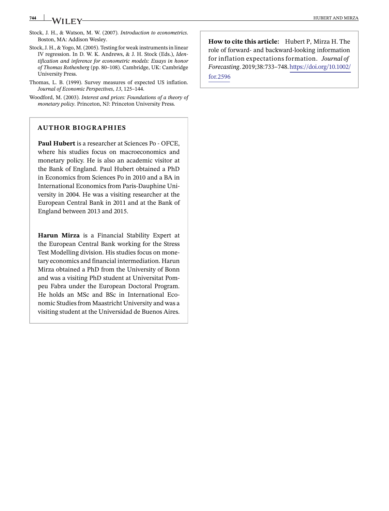#### **744 WILEY**

- Stock, J. H., & Watson, M. W. (2007). *Introduction to econometrics*. Boston, MA: Addison Wesley.
- Stock, J. H., & Yogo, M. (2005). Testing for weak instruments in linear IV regression. In D. W. K. Andrews, & J. H. Stock (Eds.), *Identification and inference for econometric models: Essays in honor of Thomas Rothenberg* (pp. 80–108). Cambridge, UK: Cambridge University Press.
- Thomas, L. B. (1999). Survey measures of expected US inflation. *Journal of Economic Perspectives*, *13*, 125–144.
- Woodford, M. (2003). *Interest and prices: Foundations of a theory of monetary policy*. Princeton, NJ: Princeton University Press.

## **AUTHOR BIOGRAPHIES**

**Paul Hubert** is a researcher at Sciences Po - OFCE, where his studies focus on macroeconomics and monetary policy. He is also an academic visitor at the Bank of England. Paul Hubert obtained a PhD in Economics from Sciences Po in 2010 and a BA in International Economics from Paris-Dauphine University in 2004. He was a visiting researcher at the European Central Bank in 2011 and at the Bank of England between 2013 and 2015.

**Harun Mirza** is a Financial Stability Expert at the European Central Bank working for the Stress Test Modelling division. His studies focus on monetary economics and financial intermediation. Harun Mirza obtained a PhD from the University of Bonn and was a visiting PhD student at Universitat Pompeu Fabra under the European Doctoral Program. He holds an MSc and BSc in International Economic Studies from Maastricht University and was a visiting student at the Universidad de Buenos Aires.

**How to cite this article:** Hubert P, Mirza H. The role of forward- and backward-looking information for inflation expectations formation. *Journal of Forecasting*. 2019;38:733–748.[https://doi.org/10.1002/](https://doi.org/10.1002/for.2596) [for.2596](https://doi.org/10.1002/for.2596)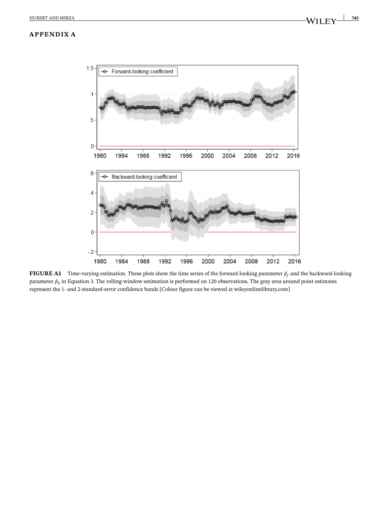

**FIGURE A1** Time-varying estimation. These plots show the time series of the forward-looking parameter  $\beta_f$  and the backward-looking parameter  $\beta_b$  in Equation 3. The rolling-window estimation is performed on 120 observations. The gray area around point estimates represent the 1- and 2-standard-error confidence bands [Colour figure can be viewed at [wileyonlinelibrary.com\]](http://wileyonlinelibrary.com)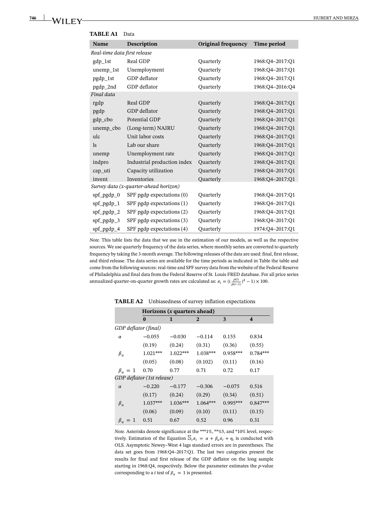| Name                         | Description                           | Original frequency | Time period     |
|------------------------------|---------------------------------------|--------------------|-----------------|
| Real-time data first release |                                       |                    |                 |
| $gdp_1st$                    | Real GDP                              | Quarterly          | 1968:Q4-2017:Q1 |
| unemp_1st                    | Unemployment                          | Quarterly          | 1968:Q4-2017:Q1 |
| pgdp_1st                     | GDP deflator                          | Quarterly          | 1968:Q4-2017:Q1 |
| pgdp_2nd                     | GDP deflator                          | Quarterly          | 1968:Q4-2016:Q4 |
| Final data                   |                                       |                    |                 |
| rgdp                         | Real GDP                              | Quarterly          | 1968:Q4-2017:Q1 |
| pgdp                         | GDP deflator                          | Quarterly          | 1968:Q4-2017:Q1 |
| gdp_cbo                      | Potential GDP                         | Quarterly          | 1968:Q4-2017:Q1 |
| unemp_cbo                    | (Long-term) NAIRU                     | Quarterly          | 1968:Q4-2017:Q1 |
| ulc                          | Unit labor costs                      | Quarterly          | 1968:Q4-2017:Q1 |
| <sub>ls</sub>                | Lab our share                         | Quarterly          | 1968:Q4-2017:Q1 |
| unemp                        | Unemployment rate                     | Quarterly          | 1968:Q4-2017:Q1 |
| indpro                       | Industrial production index           | Quarterly          | 1968:Q4-2017:Q1 |
| cap_uti                      | Capacity utilization                  | <b>Quarterly</b>   | 1968:Q4-2017:Q1 |
| invent                       | Inventories                           | Quarterly          | 1968:Q4-2017:Q1 |
|                              | Survey data (x-quarter-ahead horizon) |                    |                 |
| $spf_pgdp_0$                 | SPF pgdp expectations (0)             | Quarterly          | 1968:Q4-2017:Q1 |
| $spf_pgdp_1$                 | SPF pgdp expectations $(1)$           | Quarterly          | 1968:Q4-2017:Q1 |
| spf_pgdp_2                   | SPF pgdp expectations (2)             | Quarterly          | 1968:Q4-2017:Q1 |
| $spf_pgdp_3$                 | SPF pgdp expectations (3)             | Quarterly          | 1968:Q4-2017:Q1 |
| $spf_pgdp_4$                 | SPF pgdp expectations (4)             | Quarterly          | 1974:Q4-2017:Q1 |

**TABLE A1** Data

*Note.* This table lists the data that we use in the estimation of our models, as well as the respective sources. We use quarterly frequency of the data series, where monthly series are converted to quarterly frequency by taking the 3-month average. The following releases of the data are used: final, first release, and third release. The data series are available for the time periods as indicated in Table the table and come from the following sources: real-time and SPF survey data from the website of the Federal Reserve of Philadelphia and final data from the Federal Reserve of St. Louis FRED database. For all price series annualized quarter-on-quarter growth rates are calculated as:  $\pi_t = \left(\frac{p(t)}{p(t-1)}\right)^4 - 1 \times 100$ .

|                      | Horizons $(x$ quarters ahead) |            |              |            |                         |  |  |
|----------------------|-------------------------------|------------|--------------|------------|-------------------------|--|--|
|                      | $\bf{0}$                      | 1          | $\mathbf{2}$ | 3          | $\overline{\mathbf{4}}$ |  |  |
| GDP deflator (final) |                               |            |              |            |                         |  |  |
| $\alpha$             | $-0.055$                      | $-0.030$   | $-0.114$     | 0.155      | 0.834                   |  |  |
|                      | (0.19)                        | (0.24)     | (0.31)       | (0.36)     | (0.55)                  |  |  |
| $\beta_u$            | $1.021***$                    | $1.022***$ | 1.038***     | $0.958***$ | $0.784***$              |  |  |
|                      | (0.05)                        | (0.08)     | (0.102)      | (0.11)     | (0.16)                  |  |  |
| $\beta_u = 1$        | 0.70                          | 0.77       | 0.71         | 0.72       | 0.17                    |  |  |
|                      | GDP deflator (1st release)    |            |              |            |                         |  |  |
| $\alpha$             | $-0.220$                      | $-0.177$   | $-0.306$     | $-0.075$   | 0.516                   |  |  |
|                      | (0.17)                        | (0.24)     | (0.29)       | (0.34)     | (0.51)                  |  |  |
| $\beta_u$            | $1.037***$                    | $1.036***$ | $1.064***$   | $0.995***$ | $0.847***$              |  |  |
|                      | (0.06)                        | (0.09)     | (0.10)       | (0.11)     | (0.15)                  |  |  |
| $\beta_u = 1$        | 0.51                          | 0.67       | 0.52         | 0.96       | 0.31                    |  |  |

**TABLE A2** Unbiasedness of survey inflation expectations

*Note.* Asterisks denote significance at the \*\*\*1%, \*\*%5, and \*10% level, respectively. Estimation of the Equation  $\mathcal{S}_t \pi_t = \alpha + \beta_u \pi_t + \eta_t$  is conducted with OLS. Asymptotic Newey–West 4 lags standard errors are in parentheses. The data set goes from 1968:Q4–2017:Q1. The last two categories present the results for final and first release of the GDP deflator on the long sample starting in 1968:Q4, respectively. Below the parameter estimates the *p*-value corresponding to a *t* test of  $\beta_u = 1$  is presented.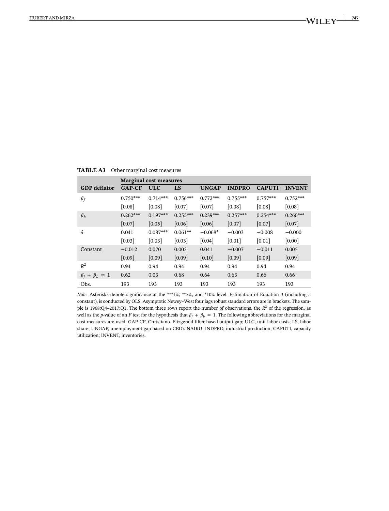|                         | <b>Marginal cost measures</b> |            |            |              |               |               |               |
|-------------------------|-------------------------------|------------|------------|--------------|---------------|---------------|---------------|
| <b>GDP</b> deflator     | $GAP-CF$                      | <b>ULC</b> | LS         | <b>UNGAP</b> | <b>INDPRO</b> | <b>CAPUTI</b> | <b>INVENT</b> |
| $\beta_f$               | $0.750***$                    | $0.714***$ | $0.756***$ | $0.772***$   | $0.755***$    | $0.757***$    | $0.752***$    |
|                         | [0.08]                        | [0.08]     | [0.07]     | [0.07]       | [0.08]        | [0.08]        | [0.08]        |
| $\beta_h$               | $0.262***$                    | $0.197***$ | $0.255***$ | $0.239***$   | $0.257***$    | $0.254***$    | $0.260***$    |
|                         | [0.07]                        | [0.05]     | [0.06]     | [0.06]       | [0.07]        | [0.07]        | [0.07]        |
| δ                       | 0.041                         | $0.087***$ | $0.061**$  | $-0.068*$    | $-0.003$      | $-0.008$      | $-0.000$      |
|                         | [0.03]                        | [0.03]     | [0.03]     | [0.04]       | [0.01]        | [0.01]        | [0.00]        |
| Constant                | $-0.012$                      | 0.070      | 0.003      | 0.041        | $-0.007$      | $-0.011$      | 0.005         |
|                         | [0.09]                        | [0.09]     | [0.09]     | [0.10]       | [0.09]        | [0.09]        | [0.09]        |
| $R^2$                   | 0.94                          | 0.94       | 0.94       | 0.94         | 0.94          | 0.94          | 0.94          |
| $\beta_f + \beta_b = 1$ | 0.62                          | 0.03       | 0.68       | 0.64         | 0.63          | 0.66          | 0.66          |
| Obs.                    | 193                           | 193        | 193        | 193          | 193           | 193           | 193           |

**TABLE A3** Other marginal cost measures

*Note.* Asterisks denote significance at the \*\*\*1%, \*\*5%, and \*10% level. Estimation of Equation 3 (including a constant), is conducted by OLS. Asymptotic Newey–West four lags robust standard errors are in brackets. The sample is 1968:Q4–2017:Q1. The bottom three rows report the number of observations, the  $R^2$  of the regression, as well as the *p*-value of an *F* test for the hypothesis that  $\beta_f + \beta_b = 1$ . The following abbreviations for the marginal cost measures are used: GAP-CF, Christiano–Fitzgerald filter-based output gap; ULC, unit labor costs; LS, labor share; UNGAP, unemployment gap based on CBO's NAIRU; INDPRO, industrial production; CAPUTI, capacity utilization; INVENT, inventories.